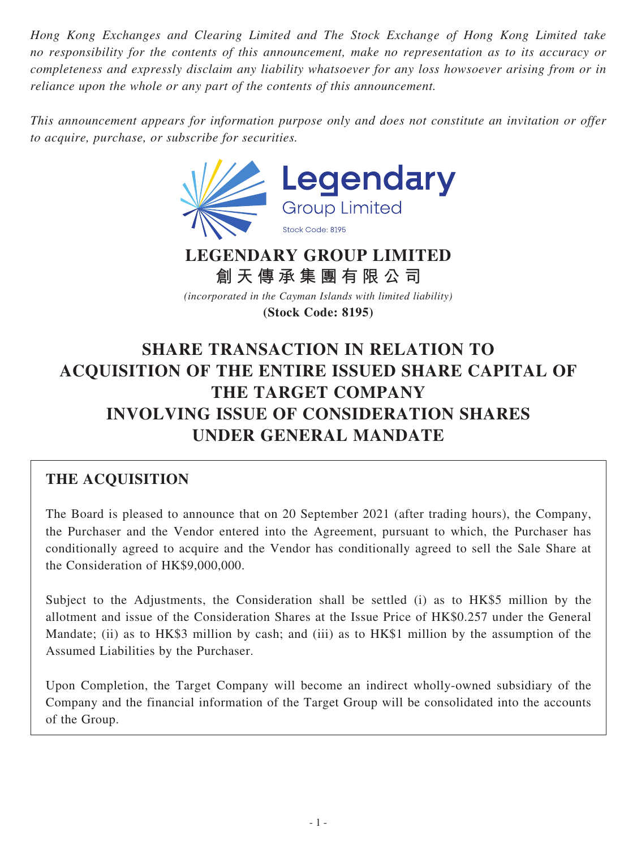*Hong Kong Exchanges and Clearing Limited and The Stock Exchange of Hong Kong Limited take no responsibility for the contents of this announcement, make no representation as to its accuracy or completeness and expressly disclaim any liability whatsoever for any loss howsoever arising from or in reliance upon the whole or any part of the contents of this announcement.*

*This announcement appears for information purpose only and does not constitute an invitation or offer to acquire, purchase, or subscribe for securities.*



**創天傳承集團有限公司** *(incorporated in the Cayman Islands with limited liability)*

**(Stock Code: 8195)**

# **SHARE TRANSACTION IN RELATION TO ACQUISITION OF THE ENTIRE ISSUED SHARE CAPITAL OF THE TARGET COMPANY INVOLVING ISSUE OF CONSIDERATION SHARES UNDER GENERAL MANDATE**

# **THE ACQUISITION**

The Board is pleased to announce that on 20 September 2021 (after trading hours), the Company, the Purchaser and the Vendor entered into the Agreement, pursuant to which, the Purchaser has conditionally agreed to acquire and the Vendor has conditionally agreed to sell the Sale Share at the Consideration of HK\$9,000,000.

Subject to the Adjustments, the Consideration shall be settled (i) as to HK\$5 million by the allotment and issue of the Consideration Shares at the Issue Price of HK\$0.257 under the General Mandate; (ii) as to HK\$3 million by cash; and (iii) as to HK\$1 million by the assumption of the Assumed Liabilities by the Purchaser.

Upon Completion, the Target Company will become an indirect wholly-owned subsidiary of the Company and the financial information of the Target Group will be consolidated into the accounts of the Group.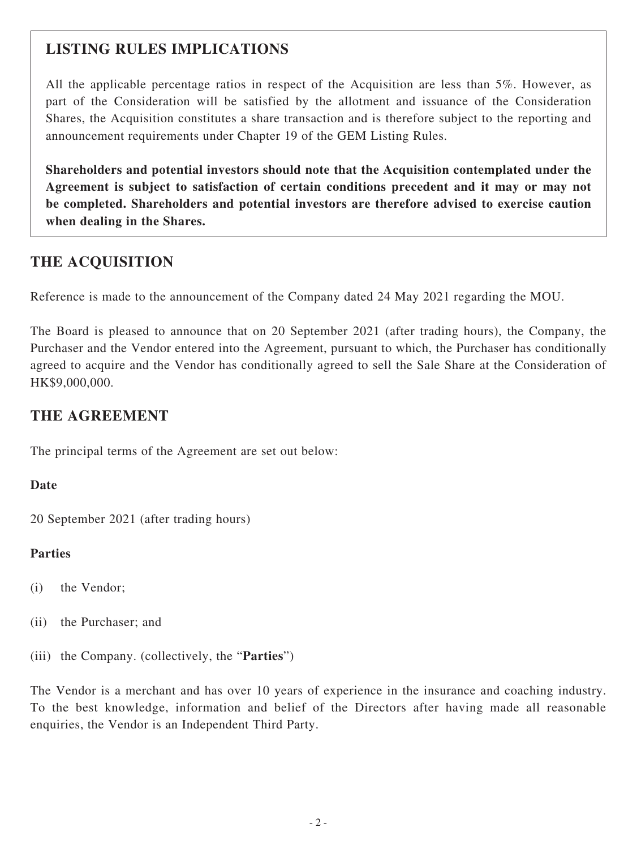# **LISTING RULES IMPLICATIONS**

All the applicable percentage ratios in respect of the Acquisition are less than 5%. However, as part of the Consideration will be satisfied by the allotment and issuance of the Consideration Shares, the Acquisition constitutes a share transaction and is therefore subject to the reporting and announcement requirements under Chapter 19 of the GEM Listing Rules.

**Shareholders and potential investors should note that the Acquisition contemplated under the Agreement is subject to satisfaction of certain conditions precedent and it may or may not be completed. Shareholders and potential investors are therefore advised to exercise caution when dealing in the Shares.**

## **THE ACQUISITION**

Reference is made to the announcement of the Company dated 24 May 2021 regarding the MOU.

The Board is pleased to announce that on 20 September 2021 (after trading hours), the Company, the Purchaser and the Vendor entered into the Agreement, pursuant to which, the Purchaser has conditionally agreed to acquire and the Vendor has conditionally agreed to sell the Sale Share at the Consideration of HK\$9,000,000.

### **THE AGREEMENT**

The principal terms of the Agreement are set out below:

#### **Date**

20 September 2021 (after trading hours)

#### **Parties**

- (i) the Vendor;
- (ii) the Purchaser; and
- (iii) the Company. (collectively, the "**Parties**")

The Vendor is a merchant and has over 10 years of experience in the insurance and coaching industry. To the best knowledge, information and belief of the Directors after having made all reasonable enquiries, the Vendor is an Independent Third Party.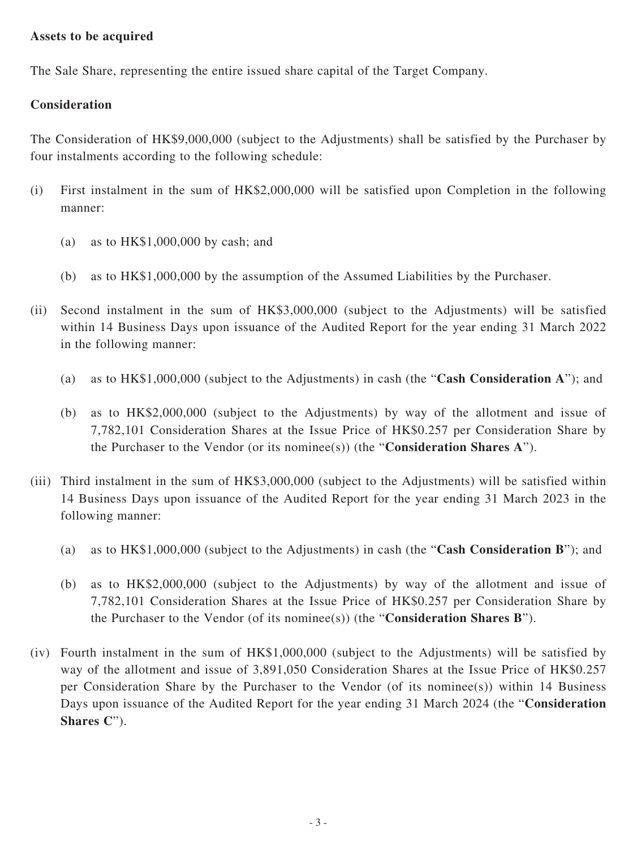#### **Assets to be acquired**

The Sale Share, representing the entire issued share capital of the Target Company.

### **Consideration**

The Consideration of HK\$9,000,000 (subject to the Adjustments) shall be satisfied by the Purchaser by four instalments according to the following schedule:

- (i) First instalment in the sum of HK\$2,000,000 will be satisfied upon Completion in the following manner:
	- (a) as to HK\$1,000,000 by cash; and
	- (b) as to HK\$1,000,000 by the assumption of the Assumed Liabilities by the Purchaser.
- (ii) Second instalment in the sum of HK\$3,000,000 (subject to the Adjustments) will be satisfied within 14 Business Days upon issuance of the Audited Report for the year ending 31 March 2022 in the following manner:
	- (a) as to HK\$1,000,000 (subject to the Adjustments) in cash (the "**Cash Consideration A**"); and
	- (b) as to HK\$2,000,000 (subject to the Adjustments) by way of the allotment and issue of 7,782,101 Consideration Shares at the Issue Price of HK\$0.257 per Consideration Share by the Purchaser to the Vendor (or its nominee(s)) (the "**Consideration Shares A**").
- (iii) Third instalment in the sum of HK\$3,000,000 (subject to the Adjustments) will be satisfied within 14 Business Days upon issuance of the Audited Report for the year ending 31 March 2023 in the following manner:
	- (a) as to HK\$1,000,000 (subject to the Adjustments) in cash (the "**Cash Consideration B**"); and
	- (b) as to HK\$2,000,000 (subject to the Adjustments) by way of the allotment and issue of 7,782,101 Consideration Shares at the Issue Price of HK\$0.257 per Consideration Share by the Purchaser to the Vendor (of its nominee(s)) (the "**Consideration Shares B**").
- (iv) Fourth instalment in the sum of HK\$1,000,000 (subject to the Adjustments) will be satisfied by way of the allotment and issue of 3,891,050 Consideration Shares at the Issue Price of HK\$0.257 per Consideration Share by the Purchaser to the Vendor (of its nominee(s)) within 14 Business Days upon issuance of the Audited Report for the year ending 31 March 2024 (the "**Consideration Shares C**").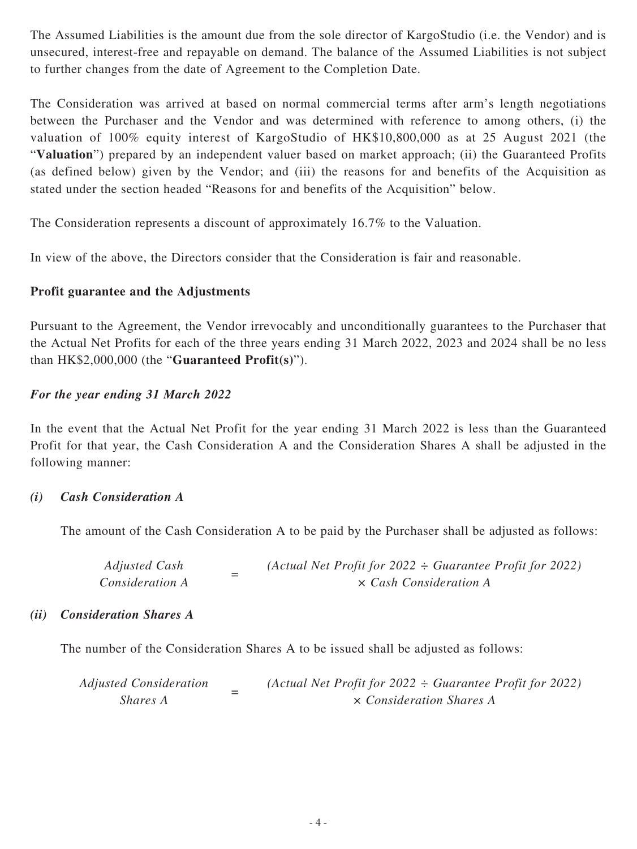The Assumed Liabilities is the amount due from the sole director of KargoStudio (i.e. the Vendor) and is unsecured, interest-free and repayable on demand. The balance of the Assumed Liabilities is not subject to further changes from the date of Agreement to the Completion Date.

The Consideration was arrived at based on normal commercial terms after arm's length negotiations between the Purchaser and the Vendor and was determined with reference to among others, (i) the valuation of 100% equity interest of KargoStudio of HK\$10,800,000 as at 25 August 2021 (the "**Valuation**") prepared by an independent valuer based on market approach; (ii) the Guaranteed Profits (as defined below) given by the Vendor; and (iii) the reasons for and benefits of the Acquisition as stated under the section headed "Reasons for and benefits of the Acquisition" below.

The Consideration represents a discount of approximately 16.7% to the Valuation.

In view of the above, the Directors consider that the Consideration is fair and reasonable.

### **Profit guarantee and the Adjustments**

Pursuant to the Agreement, the Vendor irrevocably and unconditionally guarantees to the Purchaser that the Actual Net Profits for each of the three years ending 31 March 2022, 2023 and 2024 shall be no less than HK\$2,000,000 (the "**Guaranteed Profit(s)**").

### *For the year ending 31 March 2022*

In the event that the Actual Net Profit for the year ending 31 March 2022 is less than the Guaranteed Profit for that year, the Cash Consideration A and the Consideration Shares A shall be adjusted in the following manner:

#### *(i) Cash Consideration A*

The amount of the Cash Consideration A to be paid by the Purchaser shall be adjusted as follows:

*Adjusted Cash Consideration A =*  $(Actual Net Profit for 2022 ÷ Guarantee Profit for 2022)$ <br> $X Cash Consideration A$ *× Cash Consideration A*

#### *(ii) Consideration Shares A*

The number of the Consideration Shares A to be issued shall be adjusted as follows:

*Adjusted Consideration Shares A <sup>=</sup> (Actual Net Profit for 2022 ÷ Guarantee Profit for 2022) × Consideration Shares A*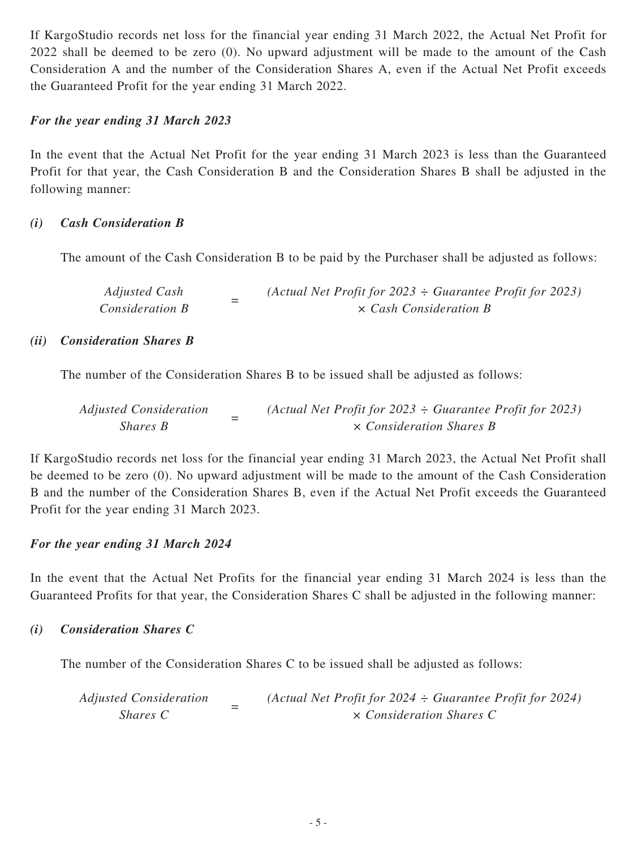If KargoStudio records net loss for the financial year ending 31 March 2022, the Actual Net Profit for 2022 shall be deemed to be zero (0). No upward adjustment will be made to the amount of the Cash Consideration A and the number of the Consideration Shares A, even if the Actual Net Profit exceeds the Guaranteed Profit for the year ending 31 March 2022.

#### *For the year ending 31 March 2023*

In the event that the Actual Net Profit for the year ending 31 March 2023 is less than the Guaranteed Profit for that year, the Cash Consideration B and the Consideration Shares B shall be adjusted in the following manner:

#### *(i) Cash Consideration B*

The amount of the Cash Consideration B to be paid by the Purchaser shall be adjusted as follows:

| Adjusted Cash          | (Actual Net Profit for 2023 $\div$ Guarantee Profit for 2023) |
|------------------------|---------------------------------------------------------------|
| <i>Consideration B</i> | $\times$ Cash Consideration B                                 |

#### *(ii) Consideration Shares B*

The number of the Consideration Shares B to be issued shall be adjusted as follows:

| <b>Adjusted Consideration</b> |  | (Actual Net Profit for 2023 $\div$ Guarantee Profit for 2023) |
|-------------------------------|--|---------------------------------------------------------------|
| Shares B                      |  | $\times$ Consideration Shares B                               |

If KargoStudio records net loss for the financial year ending 31 March 2023, the Actual Net Profit shall be deemed to be zero (0). No upward adjustment will be made to the amount of the Cash Consideration B and the number of the Consideration Shares B, even if the Actual Net Profit exceeds the Guaranteed Profit for the year ending 31 March 2023.

#### *For the year ending 31 March 2024*

In the event that the Actual Net Profits for the financial year ending 31 March 2024 is less than the Guaranteed Profits for that year, the Consideration Shares C shall be adjusted in the following manner:

#### *(i) Consideration Shares C*

The number of the Consideration Shares C to be issued shall be adjusted as follows:

*Adjusted Consideration Shares C <sup>=</sup> (Actual Net Profit for 2024 ÷ Guarantee Profit for 2024) × Consideration Shares C*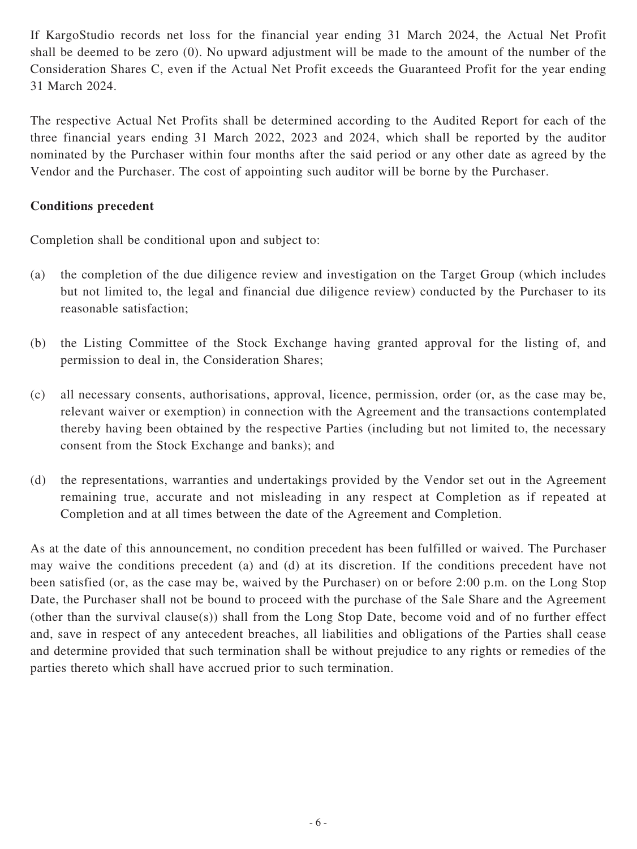If KargoStudio records net loss for the financial year ending 31 March 2024, the Actual Net Profit shall be deemed to be zero (0). No upward adjustment will be made to the amount of the number of the Consideration Shares C, even if the Actual Net Profit exceeds the Guaranteed Profit for the year ending 31 March 2024.

The respective Actual Net Profits shall be determined according to the Audited Report for each of the three financial years ending 31 March 2022, 2023 and 2024, which shall be reported by the auditor nominated by the Purchaser within four months after the said period or any other date as agreed by the Vendor and the Purchaser. The cost of appointing such auditor will be borne by the Purchaser.

### **Conditions precedent**

Completion shall be conditional upon and subject to:

- (a) the completion of the due diligence review and investigation on the Target Group (which includes but not limited to, the legal and financial due diligence review) conducted by the Purchaser to its reasonable satisfaction;
- (b) the Listing Committee of the Stock Exchange having granted approval for the listing of, and permission to deal in, the Consideration Shares;
- (c) all necessary consents, authorisations, approval, licence, permission, order (or, as the case may be, relevant waiver or exemption) in connection with the Agreement and the transactions contemplated thereby having been obtained by the respective Parties (including but not limited to, the necessary consent from the Stock Exchange and banks); and
- (d) the representations, warranties and undertakings provided by the Vendor set out in the Agreement remaining true, accurate and not misleading in any respect at Completion as if repeated at Completion and at all times between the date of the Agreement and Completion.

As at the date of this announcement, no condition precedent has been fulfilled or waived. The Purchaser may waive the conditions precedent (a) and (d) at its discretion. If the conditions precedent have not been satisfied (or, as the case may be, waived by the Purchaser) on or before 2:00 p.m. on the Long Stop Date, the Purchaser shall not be bound to proceed with the purchase of the Sale Share and the Agreement (other than the survival clause(s)) shall from the Long Stop Date, become void and of no further effect and, save in respect of any antecedent breaches, all liabilities and obligations of the Parties shall cease and determine provided that such termination shall be without prejudice to any rights or remedies of the parties thereto which shall have accrued prior to such termination.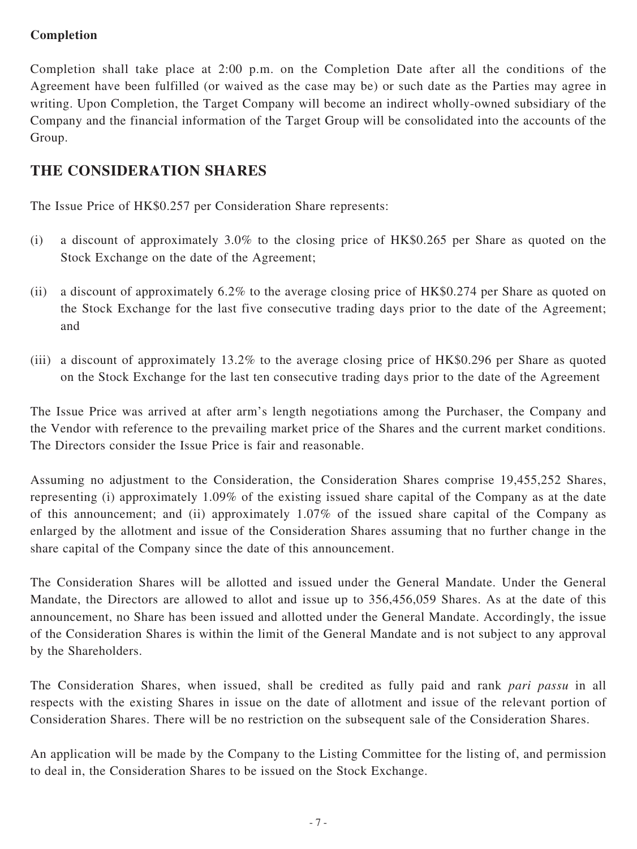### **Completion**

Completion shall take place at 2:00 p.m. on the Completion Date after all the conditions of the Agreement have been fulfilled (or waived as the case may be) or such date as the Parties may agree in writing. Upon Completion, the Target Company will become an indirect wholly-owned subsidiary of the Company and the financial information of the Target Group will be consolidated into the accounts of the Group.

# **THE CONSIDERATION SHARES**

The Issue Price of HK\$0.257 per Consideration Share represents:

- (i) a discount of approximately 3.0% to the closing price of HK\$0.265 per Share as quoted on the Stock Exchange on the date of the Agreement;
- (ii) a discount of approximately 6.2% to the average closing price of HK\$0.274 per Share as quoted on the Stock Exchange for the last five consecutive trading days prior to the date of the Agreement; and
- (iii) a discount of approximately 13.2% to the average closing price of HK\$0.296 per Share as quoted on the Stock Exchange for the last ten consecutive trading days prior to the date of the Agreement

The Issue Price was arrived at after arm's length negotiations among the Purchaser, the Company and the Vendor with reference to the prevailing market price of the Shares and the current market conditions. The Directors consider the Issue Price is fair and reasonable.

Assuming no adjustment to the Consideration, the Consideration Shares comprise 19,455,252 Shares, representing (i) approximately 1.09% of the existing issued share capital of the Company as at the date of this announcement; and (ii) approximately 1.07% of the issued share capital of the Company as enlarged by the allotment and issue of the Consideration Shares assuming that no further change in the share capital of the Company since the date of this announcement.

The Consideration Shares will be allotted and issued under the General Mandate. Under the General Mandate, the Directors are allowed to allot and issue up to 356,456,059 Shares. As at the date of this announcement, no Share has been issued and allotted under the General Mandate. Accordingly, the issue of the Consideration Shares is within the limit of the General Mandate and is not subject to any approval by the Shareholders.

The Consideration Shares, when issued, shall be credited as fully paid and rank *pari passu* in all respects with the existing Shares in issue on the date of allotment and issue of the relevant portion of Consideration Shares. There will be no restriction on the subsequent sale of the Consideration Shares.

An application will be made by the Company to the Listing Committee for the listing of, and permission to deal in, the Consideration Shares to be issued on the Stock Exchange.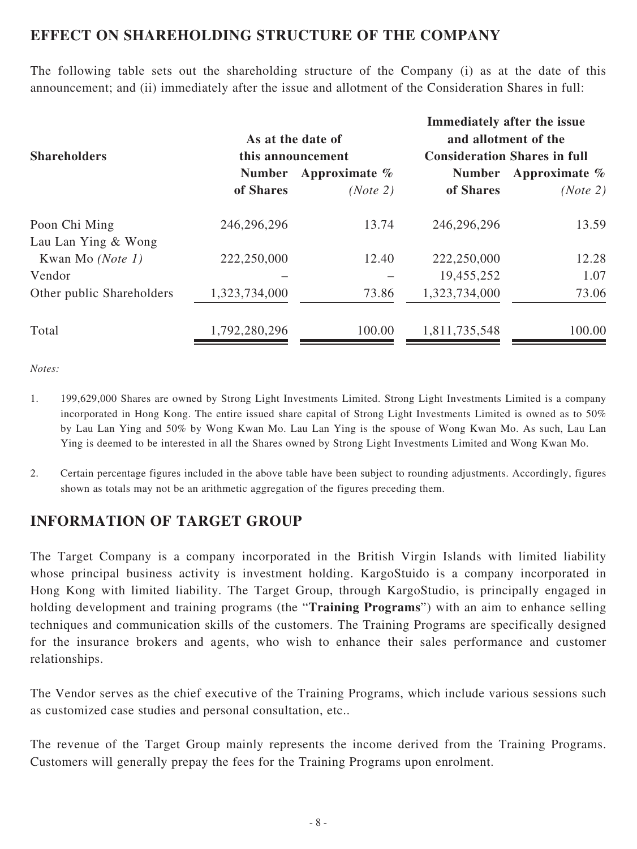### **EFFECT ON SHAREHOLDING STRUCTURE OF THE COMPANY**

The following table sets out the shareholding structure of the Company (i) as at the date of this announcement; and (ii) immediately after the issue and allotment of the Consideration Shares in full:

|                           |                   | As at the date of |                                     | Immediately after the issue<br>and allotment of the |
|---------------------------|-------------------|-------------------|-------------------------------------|-----------------------------------------------------|
| <b>Shareholders</b>       | this announcement |                   | <b>Consideration Shares in full</b> |                                                     |
|                           | <b>Number</b>     | Approximate $%$   | <b>Number</b>                       | Approximate $\%$                                    |
|                           | of Shares         | (Note 2)          | of Shares                           | (Note 2)                                            |
| Poon Chi Ming             | 246,296,296       | 13.74             | 246,296,296                         | 13.59                                               |
| Lau Lan Ying & Wong       |                   |                   |                                     |                                                     |
| Kwan Mo (Note 1)          | 222,250,000       | 12.40             | 222,250,000                         | 12.28                                               |
| Vendor                    |                   |                   | 19,455,252                          | 1.07                                                |
| Other public Shareholders | 1,323,734,000     | 73.86             | 1,323,734,000                       | 73.06                                               |
| Total                     | 1,792,280,296     | 100.00            | 1,811,735,548                       | 100.00                                              |

*Notes:*

- 1. 199,629,000 Shares are owned by Strong Light Investments Limited. Strong Light Investments Limited is a company incorporated in Hong Kong. The entire issued share capital of Strong Light Investments Limited is owned as to 50% by Lau Lan Ying and 50% by Wong Kwan Mo. Lau Lan Ying is the spouse of Wong Kwan Mo. As such, Lau Lan Ying is deemed to be interested in all the Shares owned by Strong Light Investments Limited and Wong Kwan Mo.
- 2. Certain percentage figures included in the above table have been subject to rounding adjustments. Accordingly, figures shown as totals may not be an arithmetic aggregation of the figures preceding them.

## **INFORMATION OF TARGET GROUP**

The Target Company is a company incorporated in the British Virgin Islands with limited liability whose principal business activity is investment holding. KargoStuido is a company incorporated in Hong Kong with limited liability. The Target Group, through KargoStudio, is principally engaged in holding development and training programs (the "**Training Programs**") with an aim to enhance selling techniques and communication skills of the customers. The Training Programs are specifically designed for the insurance brokers and agents, who wish to enhance their sales performance and customer relationships.

The Vendor serves as the chief executive of the Training Programs, which include various sessions such as customized case studies and personal consultation, etc..

The revenue of the Target Group mainly represents the income derived from the Training Programs. Customers will generally prepay the fees for the Training Programs upon enrolment.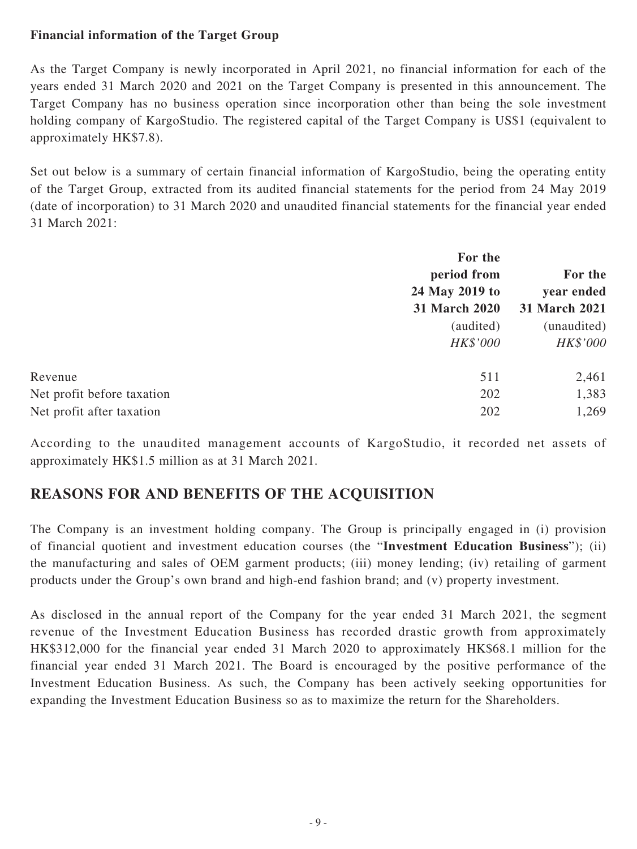### **Financial information of the Target Group**

As the Target Company is newly incorporated in April 2021, no financial information for each of the years ended 31 March 2020 and 2021 on the Target Company is presented in this announcement. The Target Company has no business operation since incorporation other than being the sole investment holding company of KargoStudio. The registered capital of the Target Company is US\$1 (equivalent to approximately HK\$7.8).

Set out below is a summary of certain financial information of KargoStudio, being the operating entity of the Target Group, extracted from its audited financial statements for the period from 24 May 2019 (date of incorporation) to 31 March 2020 and unaudited financial statements for the financial year ended 31 March 2021:

|                            | For the        |                       |
|----------------------------|----------------|-----------------------|
|                            | period from    | For the<br>year ended |
|                            | 24 May 2019 to |                       |
|                            | 31 March 2020  | 31 March 2021         |
|                            | (audited)      | (unaudited)           |
|                            | HK\$'000       | HK\$'000              |
| Revenue                    | 511            | 2,461                 |
| Net profit before taxation | 202            | 1,383                 |
| Net profit after taxation  | 202            | 1,269                 |

According to the unaudited management accounts of KargoStudio, it recorded net assets of approximately HK\$1.5 million as at 31 March 2021.

# **REASONS FOR AND BENEFITS OF THE ACQUISITION**

The Company is an investment holding company. The Group is principally engaged in (i) provision of financial quotient and investment education courses (the "**Investment Education Business**"); (ii) the manufacturing and sales of OEM garment products; (iii) money lending; (iv) retailing of garment products under the Group's own brand and high-end fashion brand; and (v) property investment.

As disclosed in the annual report of the Company for the year ended 31 March 2021, the segment revenue of the Investment Education Business has recorded drastic growth from approximately HK\$312,000 for the financial year ended 31 March 2020 to approximately HK\$68.1 million for the financial year ended 31 March 2021. The Board is encouraged by the positive performance of the Investment Education Business. As such, the Company has been actively seeking opportunities for expanding the Investment Education Business so as to maximize the return for the Shareholders.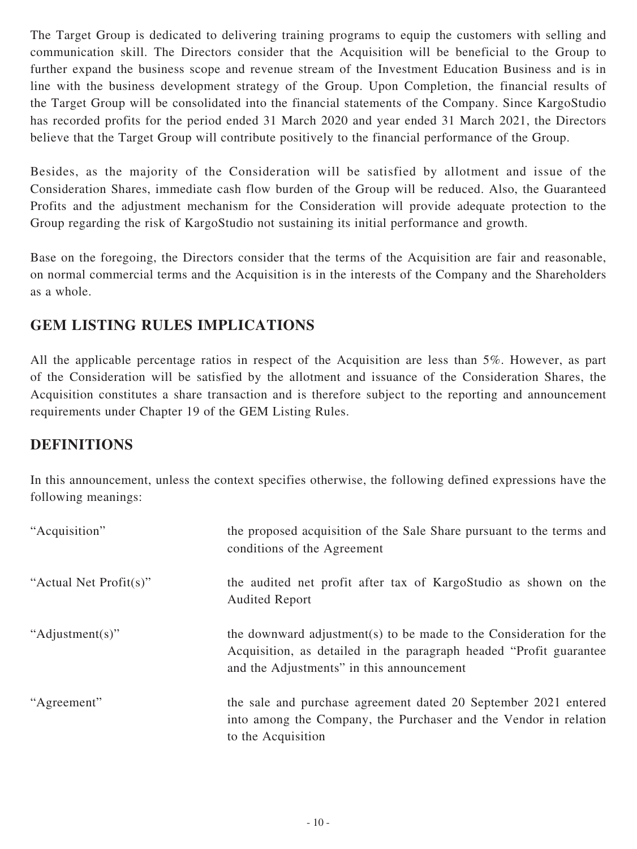The Target Group is dedicated to delivering training programs to equip the customers with selling and communication skill. The Directors consider that the Acquisition will be beneficial to the Group to further expand the business scope and revenue stream of the Investment Education Business and is in line with the business development strategy of the Group. Upon Completion, the financial results of the Target Group will be consolidated into the financial statements of the Company. Since KargoStudio has recorded profits for the period ended 31 March 2020 and year ended 31 March 2021, the Directors believe that the Target Group will contribute positively to the financial performance of the Group.

Besides, as the majority of the Consideration will be satisfied by allotment and issue of the Consideration Shares, immediate cash flow burden of the Group will be reduced. Also, the Guaranteed Profits and the adjustment mechanism for the Consideration will provide adequate protection to the Group regarding the risk of KargoStudio not sustaining its initial performance and growth.

Base on the foregoing, the Directors consider that the terms of the Acquisition are fair and reasonable, on normal commercial terms and the Acquisition is in the interests of the Company and the Shareholders as a whole.

# **GEM LISTING RULES IMPLICATIONS**

All the applicable percentage ratios in respect of the Acquisition are less than 5%. However, as part of the Consideration will be satisfied by the allotment and issuance of the Consideration Shares, the Acquisition constitutes a share transaction and is therefore subject to the reporting and announcement requirements under Chapter 19 of the GEM Listing Rules.

## **DEFINITIONS**

In this announcement, unless the context specifies otherwise, the following defined expressions have the following meanings:

| "Acquisition"          | the proposed acquisition of the Sale Share pursuant to the terms and<br>conditions of the Agreement                                                                                    |
|------------------------|----------------------------------------------------------------------------------------------------------------------------------------------------------------------------------------|
| "Actual Net Profit(s)" | the audited net profit after tax of Kargo Studio as shown on the<br><b>Audited Report</b>                                                                                              |
| "Adjustment(s)"        | the downward adjustment(s) to be made to the Consideration for the<br>Acquisition, as detailed in the paragraph headed "Profit guarantee"<br>and the Adjustments" in this announcement |
| "Agreement"            | the sale and purchase agreement dated 20 September 2021 entered<br>into among the Company, the Purchaser and the Vendor in relation<br>to the Acquisition                              |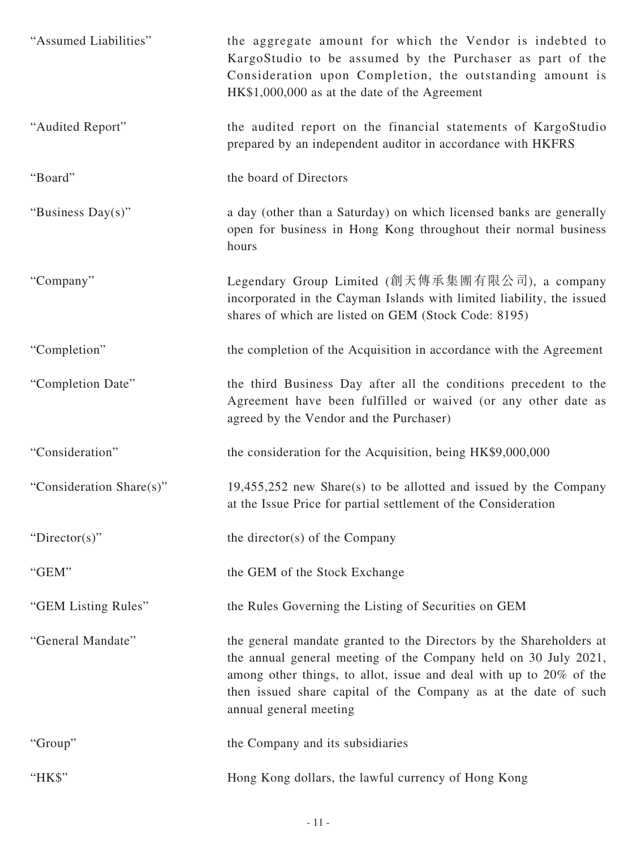| "Assumed Liabilities"    | the aggregate amount for which the Vendor is indebted to<br>KargoStudio to be assumed by the Purchaser as part of the<br>Consideration upon Completion, the outstanding amount is<br>HK\$1,000,000 as at the date of the Agreement                                                                        |
|--------------------------|-----------------------------------------------------------------------------------------------------------------------------------------------------------------------------------------------------------------------------------------------------------------------------------------------------------|
| "Audited Report"         | the audited report on the financial statements of KargoStudio<br>prepared by an independent auditor in accordance with HKFRS                                                                                                                                                                              |
| "Board"                  | the board of Directors                                                                                                                                                                                                                                                                                    |
| "Business Day(s)"        | a day (other than a Saturday) on which licensed banks are generally<br>open for business in Hong Kong throughout their normal business<br>hours                                                                                                                                                           |
| "Company"                | Legendary Group Limited (創天傳承集團有限公司), a company<br>incorporated in the Cayman Islands with limited liability, the issued<br>shares of which are listed on GEM (Stock Code: 8195)                                                                                                                          |
| "Completion"             | the completion of the Acquisition in accordance with the Agreement                                                                                                                                                                                                                                        |
| "Completion Date"        | the third Business Day after all the conditions precedent to the<br>Agreement have been fulfilled or waived (or any other date as<br>agreed by the Vendor and the Purchaser)                                                                                                                              |
| "Consideration"          | the consideration for the Acquisition, being HK\$9,000,000                                                                                                                                                                                                                                                |
| "Consideration Share(s)" | $19,455,252$ new Share(s) to be allotted and issued by the Company<br>at the Issue Price for partial settlement of the Consideration                                                                                                                                                                      |
| " $Directory$ "          | the director(s) of the Company                                                                                                                                                                                                                                                                            |
| "GEM"                    | the GEM of the Stock Exchange                                                                                                                                                                                                                                                                             |
| "GEM Listing Rules"      | the Rules Governing the Listing of Securities on GEM                                                                                                                                                                                                                                                      |
| "General Mandate"        | the general mandate granted to the Directors by the Shareholders at<br>the annual general meeting of the Company held on 30 July 2021,<br>among other things, to allot, issue and deal with up to 20% of the<br>then issued share capital of the Company as at the date of such<br>annual general meeting |
| "Group"                  | the Company and its subsidiaries                                                                                                                                                                                                                                                                          |
| "HK\$"                   | Hong Kong dollars, the lawful currency of Hong Kong                                                                                                                                                                                                                                                       |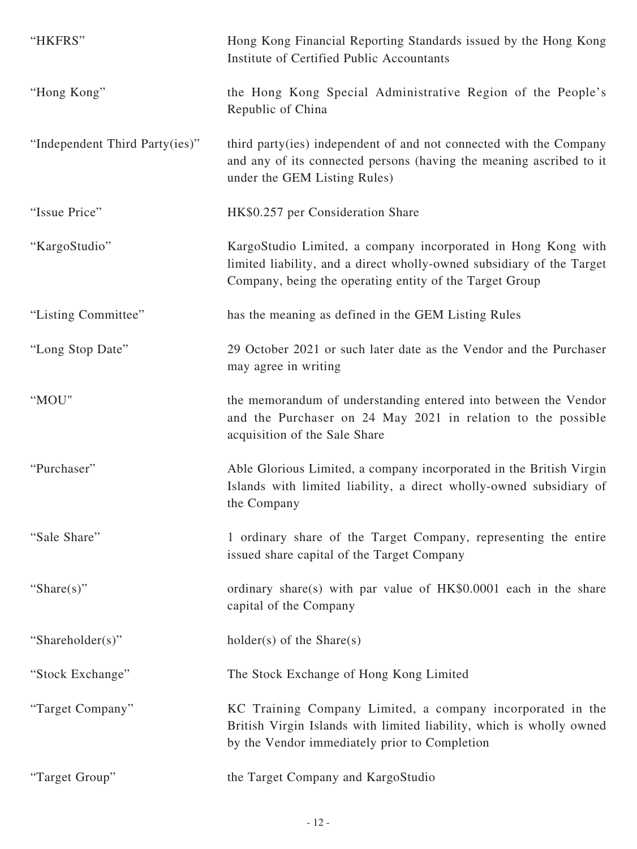| "HKFRS"                        | Hong Kong Financial Reporting Standards issued by the Hong Kong<br>Institute of Certified Public Accountants                                                                                      |
|--------------------------------|---------------------------------------------------------------------------------------------------------------------------------------------------------------------------------------------------|
| "Hong Kong"                    | the Hong Kong Special Administrative Region of the People's<br>Republic of China                                                                                                                  |
| "Independent Third Party(ies)" | third party (ies) independent of and not connected with the Company<br>and any of its connected persons (having the meaning ascribed to it<br>under the GEM Listing Rules)                        |
| "Issue Price"                  | HK\$0.257 per Consideration Share                                                                                                                                                                 |
| "KargoStudio"                  | KargoStudio Limited, a company incorporated in Hong Kong with<br>limited liability, and a direct wholly-owned subsidiary of the Target<br>Company, being the operating entity of the Target Group |
| "Listing Committee"            | has the meaning as defined in the GEM Listing Rules                                                                                                                                               |
| "Long Stop Date"               | 29 October 2021 or such later date as the Vendor and the Purchaser<br>may agree in writing                                                                                                        |
| "MOU"                          | the memorandum of understanding entered into between the Vendor<br>and the Purchaser on 24 May 2021 in relation to the possible<br>acquisition of the Sale Share                                  |
| "Purchaser"                    | Able Glorious Limited, a company incorporated in the British Virgin<br>Islands with limited liability, a direct wholly-owned subsidiary of<br>the Company                                         |
| "Sale Share"                   | 1 ordinary share of the Target Company, representing the entire<br>issued share capital of the Target Company                                                                                     |
| "Share $(s)$ "                 | ordinary share(s) with par value of HK\$0.0001 each in the share<br>capital of the Company                                                                                                        |
| "Shareholder(s)"               | $holder(s)$ of the Share(s)                                                                                                                                                                       |
| "Stock Exchange"               | The Stock Exchange of Hong Kong Limited                                                                                                                                                           |
| "Target Company"               | KC Training Company Limited, a company incorporated in the<br>British Virgin Islands with limited liability, which is wholly owned<br>by the Vendor immediately prior to Completion               |
| "Target Group"                 | the Target Company and KargoStudio                                                                                                                                                                |